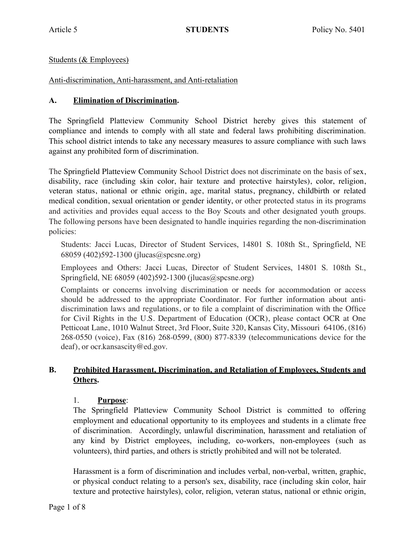### Students (& Employees)

### Anti-discrimination, Anti-harassment, and Anti-retaliation

#### **A. Elimination of Discrimination.**

The Springfield Platteview Community School District hereby gives this statement of compliance and intends to comply with all state and federal laws prohibiting discrimination. This school district intends to take any necessary measures to assure compliance with such laws against any prohibited form of discrimination.

The Springfield Platteview Community School District does not discriminate on the basis of sex, disability, race (including skin color, hair texture and protective hairstyles), color, religion, veteran status, national or ethnic origin, age, marital status, pregnancy, childbirth or related medical condition, sexual orientation or gender identity, or other protected status in its programs and activities and provides equal access to the Boy Scouts and other designated youth groups. The following persons have been designated to handle inquiries regarding the non-discrimination policies:

Students: Jacci Lucas, Director of Student Services, 14801 S. 108th St., Springfield, NE 68059 (402)592-1300 (jlucas@spcsne.org)

Employees and Others: Jacci Lucas, Director of Student Services, 14801 S. 108th St., Springfield, NE 68059 (402)592-1300 (jlucas@spcsne.org)

Complaints or concerns involving discrimination or needs for accommodation or access should be addressed to the appropriate Coordinator. For further information about antidiscrimination laws and regulations, or to file a complaint of discrimination with the Office for Civil Rights in the U.S. Department of Education (OCR), please contact OCR at One Petticoat Lane, 1010 Walnut Street, 3rd Floor, Suite 320, Kansas City, Missouri 64106, (816) 268-0550 (voice), Fax (816) 268-0599, (800) 877-8339 (telecommunications device for the deaf), or ocr.kansascity@ed.gov.

### **B. Prohibited Harassment, Discrimination, and Retaliation of Employees, Students and Others.**

#### 1. **Purpose**:

The Springfield Platteview Community School District is committed to offering employment and educational opportunity to its employees and students in a climate free of discrimination. Accordingly, unlawful discrimination, harassment and retaliation of any kind by District employees, including, co-workers, non-employees (such as volunteers), third parties, and others is strictly prohibited and will not be tolerated.

Harassment is a form of discrimination and includes verbal, non-verbal, written, graphic, or physical conduct relating to a person's sex, disability, race (including skin color, hair texture and protective hairstyles), color, religion, veteran status, national or ethnic origin,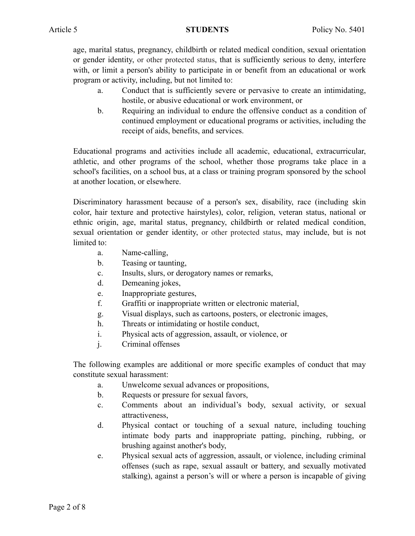age, marital status, pregnancy, childbirth or related medical condition, sexual orientation or gender identity, or other protected status, that is sufficiently serious to deny, interfere with, or limit a person's ability to participate in or benefit from an educational or work program or activity, including, but not limited to:

- a. Conduct that is sufficiently severe or pervasive to create an intimidating, hostile, or abusive educational or work environment, or
- b. Requiring an individual to endure the offensive conduct as a condition of continued employment or educational programs or activities, including the receipt of aids, benefits, and services.

Educational programs and activities include all academic, educational, extracurricular, athletic, and other programs of the school, whether those programs take place in a school's facilities, on a school bus, at a class or training program sponsored by the school at another location, or elsewhere.

Discriminatory harassment because of a person's sex, disability, race (including skin color, hair texture and protective hairstyles), color, religion, veteran status, national or ethnic origin, age, marital status, pregnancy, childbirth or related medical condition, sexual orientation or gender identity, or other protected status, may include, but is not limited to:

- a. Name-calling,
- b. Teasing or taunting,
- c. Insults, slurs, or derogatory names or remarks,
- d. Demeaning jokes,
- e. Inappropriate gestures,
- f. Graffiti or inappropriate written or electronic material,
- g. Visual displays, such as cartoons, posters, or electronic images,
- h. Threats or intimidating or hostile conduct,
- i. Physical acts of aggression, assault, or violence, or
- j. Criminal offenses

The following examples are additional or more specific examples of conduct that may constitute sexual harassment:

- a. Unwelcome sexual advances or propositions,
- b. Requests or pressure for sexual favors,
- c. Comments about an individual's body, sexual activity, or sexual attractiveness,
- d. Physical contact or touching of a sexual nature, including touching intimate body parts and inappropriate patting, pinching, rubbing, or brushing against another's body,
- e. Physical sexual acts of aggression, assault, or violence, including criminal offenses (such as rape, sexual assault or battery, and sexually motivated stalking), against a person's will or where a person is incapable of giving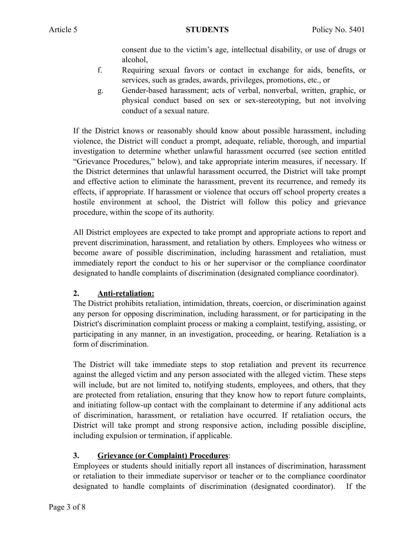consent due to the victim's age, intellectual disability, or use of drugs or alcohol,

- f. Requiring sexual favors or contact in exchange for aids, benefits, or services, such as grades, awards, privileges, promotions, etc., or
- g. Gender-based harassment; acts of verbal, nonverbal, written, graphic, or physical conduct based on sex or sex-stereotyping, but not involving conduct of a sexual nature.

If the District knows or reasonably should know about possible harassment, including violence, the District will conduct a prompt, adequate, reliable, thorough, and impartial investigation to determine whether unlawful harassment occurred (see section entitled "Grievance Procedures," below), and take appropriate interim measures, if necessary. If the District determines that unlawful harassment occurred, the District will take prompt and effective action to eliminate the harassment, prevent its recurrence, and remedy its effects, if appropriate. If harassment or violence that occurs off school property creates a hostile environment at school, the District will follow this policy and grievance procedure, within the scope of its authority.

All District employees are expected to take prompt and appropriate actions to report and prevent discrimination, harassment, and retaliation by others. Employees who witness or become aware of possible discrimination, including harassment and retaliation, must immediately report the conduct to his or her supervisor or the compliance coordinator designated to handle complaints of discrimination (designated compliance coordinator).

## **2. Anti-retaliation:**

The District prohibits retaliation, intimidation, threats, coercion, or discrimination against any person for opposing discrimination, including harassment, or for participating in the District's discrimination complaint process or making a complaint, testifying, assisting, or participating in any manner, in an investigation, proceeding, or hearing. Retaliation is a form of discrimination.

The District will take immediate steps to stop retaliation and prevent its recurrence against the alleged victim and any person associated with the alleged victim. These steps will include, but are not limited to, notifying students, employees, and others, that they are protected from retaliation, ensuring that they know how to report future complaints, and initiating follow-up contact with the complainant to determine if any additional acts of discrimination, harassment, or retaliation have occurred. If retaliation occurs, the District will take prompt and strong responsive action, including possible discipline, including expulsion or termination, if applicable.

# **3. Grievance (or Complaint) Procedures**:

Employees or students should initially report all instances of discrimination, harassment or retaliation to their immediate supervisor or teacher or to the compliance coordinator designated to handle complaints of discrimination (designated coordinator). If the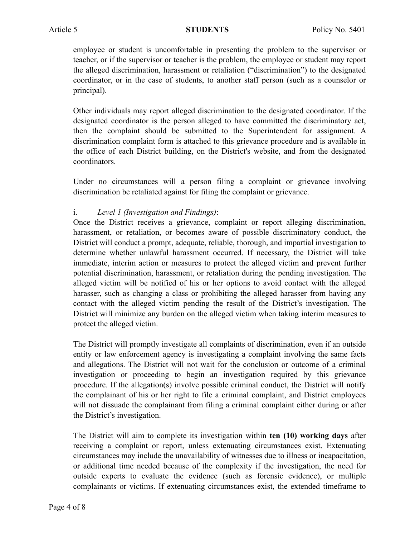employee or student is uncomfortable in presenting the problem to the supervisor or teacher, or if the supervisor or teacher is the problem, the employee or student may report the alleged discrimination, harassment or retaliation ("discrimination") to the designated coordinator, or in the case of students, to another staff person (such as a counselor or principal).

Other individuals may report alleged discrimination to the designated coordinator. If the designated coordinator is the person alleged to have committed the discriminatory act, then the complaint should be submitted to the Superintendent for assignment. A discrimination complaint form is attached to this grievance procedure and is available in the office of each District building, on the District's website, and from the designated coordinators.

Under no circumstances will a person filing a complaint or grievance involving discrimination be retaliated against for filing the complaint or grievance.

## i. *Level 1 (Investigation and Findings)*:

Once the District receives a grievance, complaint or report alleging discrimination, harassment, or retaliation, or becomes aware of possible discriminatory conduct, the District will conduct a prompt, adequate, reliable, thorough, and impartial investigation to determine whether unlawful harassment occurred. If necessary, the District will take immediate, interim action or measures to protect the alleged victim and prevent further potential discrimination, harassment, or retaliation during the pending investigation. The alleged victim will be notified of his or her options to avoid contact with the alleged harasser, such as changing a class or prohibiting the alleged harasser from having any contact with the alleged victim pending the result of the District's investigation. The District will minimize any burden on the alleged victim when taking interim measures to protect the alleged victim.

The District will promptly investigate all complaints of discrimination, even if an outside entity or law enforcement agency is investigating a complaint involving the same facts and allegations. The District will not wait for the conclusion or outcome of a criminal investigation or proceeding to begin an investigation required by this grievance procedure. If the allegation(s) involve possible criminal conduct, the District will notify the complainant of his or her right to file a criminal complaint, and District employees will not dissuade the complainant from filing a criminal complaint either during or after the District's investigation.

The District will aim to complete its investigation within **ten (10) working days** after receiving a complaint or report, unless extenuating circumstances exist. Extenuating circumstances may include the unavailability of witnesses due to illness or incapacitation, or additional time needed because of the complexity if the investigation, the need for outside experts to evaluate the evidence (such as forensic evidence), or multiple complainants or victims. If extenuating circumstances exist, the extended timeframe to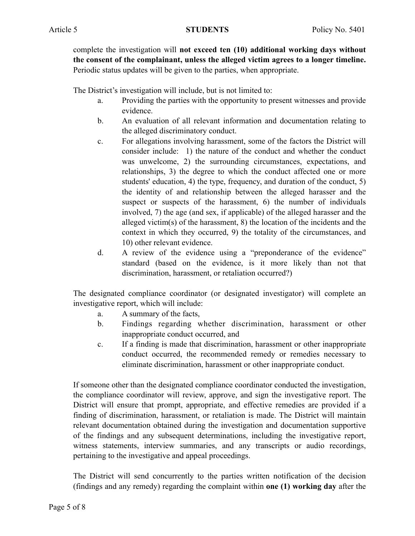complete the investigation will **not exceed ten (10) additional working days without the consent of the complainant, unless the alleged victim agrees to a longer timeline.**  Periodic status updates will be given to the parties, when appropriate.

The District's investigation will include, but is not limited to:

- a. Providing the parties with the opportunity to present witnesses and provide evidence.
- b. An evaluation of all relevant information and documentation relating to the alleged discriminatory conduct.
- c. For allegations involving harassment, some of the factors the District will consider include: 1) the nature of the conduct and whether the conduct was unwelcome, 2) the surrounding circumstances, expectations, and relationships, 3) the degree to which the conduct affected one or more students' education, 4) the type, frequency, and duration of the conduct, 5) the identity of and relationship between the alleged harasser and the suspect or suspects of the harassment, 6) the number of individuals involved, 7) the age (and sex, if applicable) of the alleged harasser and the alleged victim(s) of the harassment, 8) the location of the incidents and the context in which they occurred, 9) the totality of the circumstances, and 10) other relevant evidence.
- d. A review of the evidence using a "preponderance of the evidence" standard (based on the evidence, is it more likely than not that discrimination, harassment, or retaliation occurred?)

The designated compliance coordinator (or designated investigator) will complete an investigative report, which will include:

- a. A summary of the facts,
- b. Findings regarding whether discrimination, harassment or other inappropriate conduct occurred, and
- c. If a finding is made that discrimination, harassment or other inappropriate conduct occurred, the recommended remedy or remedies necessary to eliminate discrimination, harassment or other inappropriate conduct.

If someone other than the designated compliance coordinator conducted the investigation, the compliance coordinator will review, approve, and sign the investigative report. The District will ensure that prompt, appropriate, and effective remedies are provided if a finding of discrimination, harassment, or retaliation is made. The District will maintain relevant documentation obtained during the investigation and documentation supportive of the findings and any subsequent determinations, including the investigative report, witness statements, interview summaries, and any transcripts or audio recordings, pertaining to the investigative and appeal proceedings.

The District will send concurrently to the parties written notification of the decision (findings and any remedy) regarding the complaint within **one (1) working day** after the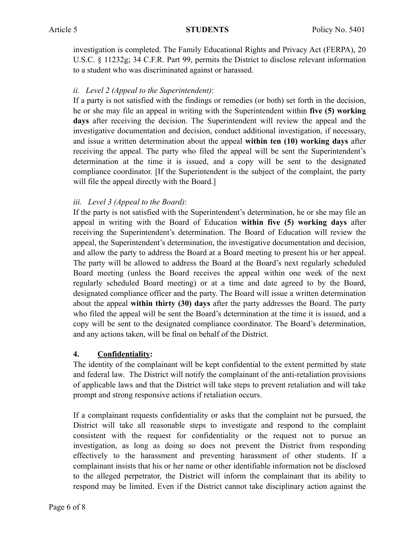investigation is completed. The Family Educational Rights and Privacy Act (FERPA), 20 U.S.C. § 11232g; 34 C.F.R. Part 99, permits the District to disclose relevant information to a student who was discriminated against or harassed.

# *ii. Level 2 (Appeal to the Superintendent)*:

If a party is not satisfied with the findings or remedies (or both) set forth in the decision, he or she may file an appeal in writing with the Superintendent within **five (5) working days** after receiving the decision. The Superintendent will review the appeal and the investigative documentation and decision, conduct additional investigation, if necessary, and issue a written determination about the appeal **within ten (10) working days** after receiving the appeal. The party who filed the appeal will be sent the Superintendent's determination at the time it is issued, and a copy will be sent to the designated compliance coordinator. [If the Superintendent is the subject of the complaint, the party will file the appeal directly with the Board.]

# *iii. Level 3 (Appeal to the Board)*:

If the party is not satisfied with the Superintendent's determination, he or she may file an appeal in writing with the Board of Education **within five (5) working days** after receiving the Superintendent's determination. The Board of Education will review the appeal, the Superintendent's determination, the investigative documentation and decision, and allow the party to address the Board at a Board meeting to present his or her appeal. The party will be allowed to address the Board at the Board's next regularly scheduled Board meeting (unless the Board receives the appeal within one week of the next regularly scheduled Board meeting) or at a time and date agreed to by the Board, designated compliance officer and the party. The Board will issue a written determination about the appeal **within thirty (30) days** after the party addresses the Board. The party who filed the appeal will be sent the Board's determination at the time it is issued, and a copy will be sent to the designated compliance coordinator. The Board's determination, and any actions taken, will be final on behalf of the District.

## **4. Confidentiality:**

The identity of the complainant will be kept confidential to the extent permitted by state and federal law. The District will notify the complainant of the anti-retaliation provisions of applicable laws and that the District will take steps to prevent retaliation and will take prompt and strong responsive actions if retaliation occurs.

If a complainant requests confidentiality or asks that the complaint not be pursued, the District will take all reasonable steps to investigate and respond to the complaint consistent with the request for confidentiality or the request not to pursue an investigation, as long as doing so does not prevent the District from responding effectively to the harassment and preventing harassment of other students. If a complainant insists that his or her name or other identifiable information not be disclosed to the alleged perpetrator, the District will inform the complainant that its ability to respond may be limited. Even if the District cannot take disciplinary action against the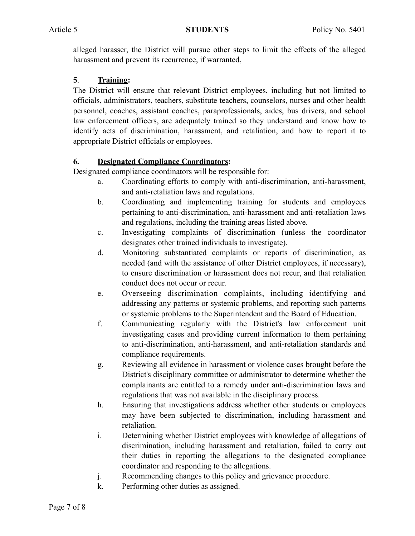alleged harasser, the District will pursue other steps to limit the effects of the alleged harassment and prevent its recurrence, if warranted,

# **5**. **Training:**

The District will ensure that relevant District employees, including but not limited to officials, administrators, teachers, substitute teachers, counselors, nurses and other health personnel, coaches, assistant coaches, paraprofessionals, aides, bus drivers, and school law enforcement officers, are adequately trained so they understand and know how to identify acts of discrimination, harassment, and retaliation, and how to report it to appropriate District officials or employees.

# **6. Designated Compliance Coordinators:**

Designated compliance coordinators will be responsible for:

- a. Coordinating efforts to comply with anti-discrimination, anti-harassment, and anti-retaliation laws and regulations.
- b. Coordinating and implementing training for students and employees pertaining to anti-discrimination, anti-harassment and anti-retaliation laws and regulations, including the training areas listed above.
- c. Investigating complaints of discrimination (unless the coordinator designates other trained individuals to investigate).
- d. Monitoring substantiated complaints or reports of discrimination, as needed (and with the assistance of other District employees, if necessary), to ensure discrimination or harassment does not recur, and that retaliation conduct does not occur or recur.
- e. Overseeing discrimination complaints, including identifying and addressing any patterns or systemic problems, and reporting such patterns or systemic problems to the Superintendent and the Board of Education.
- f. Communicating regularly with the District's law enforcement unit investigating cases and providing current information to them pertaining to anti-discrimination, anti-harassment, and anti-retaliation standards and compliance requirements.
- g. Reviewing all evidence in harassment or violence cases brought before the District's disciplinary committee or administrator to determine whether the complainants are entitled to a remedy under anti-discrimination laws and regulations that was not available in the disciplinary process.
- h. Ensuring that investigations address whether other students or employees may have been subjected to discrimination, including harassment and retaliation.
- i. Determining whether District employees with knowledge of allegations of discrimination, including harassment and retaliation, failed to carry out their duties in reporting the allegations to the designated compliance coordinator and responding to the allegations.
- j. Recommending changes to this policy and grievance procedure.
- k. Performing other duties as assigned.